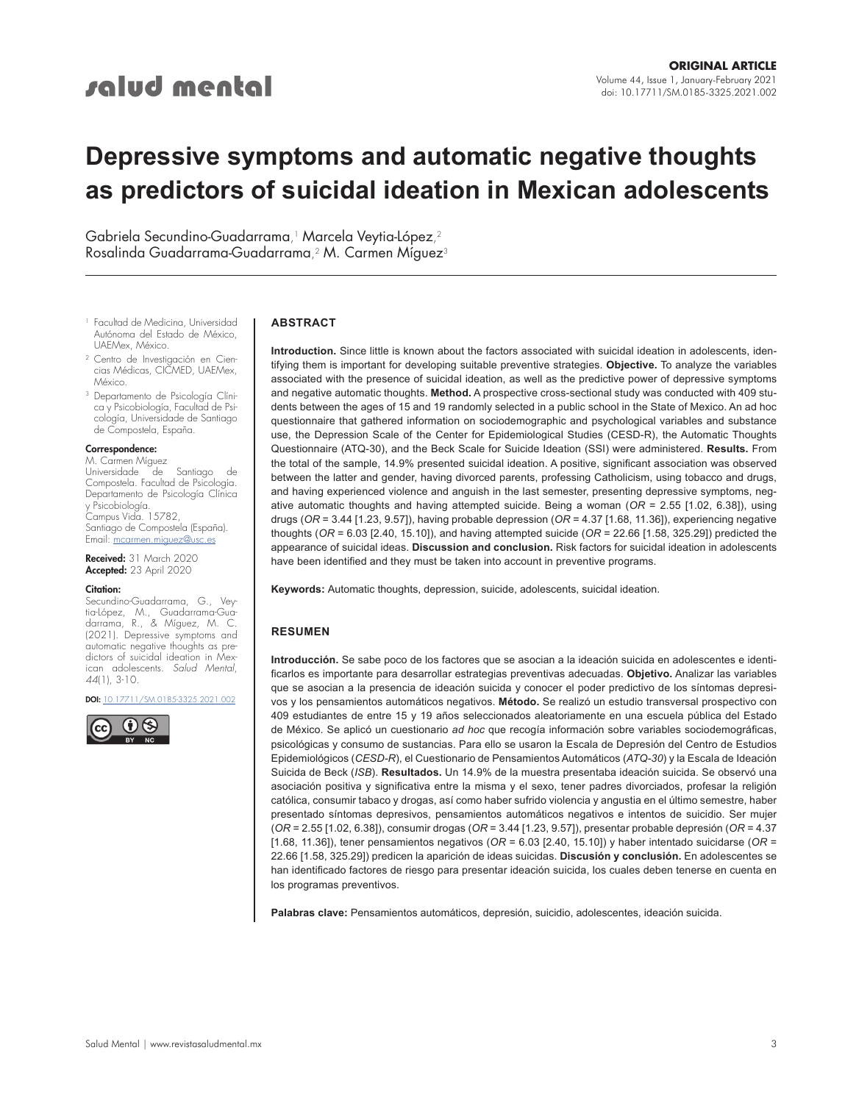# salud mental

# **Depressive symptoms and automatic negative thoughts as predictors of suicidal ideation in Mexican adolescents**

Gabriela Secundino-Guadarrama, <sup>1</sup> Marcela Veytia-López, 2 Rosalinda Guadarrama-Guadarrama,<sup>2</sup> M. Carmen Míguez<sup>3</sup>

- <sup>1</sup> Facultad de Medicina, Universidad Autónoma del Estado de México, UAEMex, México.
- <sup>2</sup> Centro de Investigación en Ciencias Médicas, CICMED, UAEMex, México.
- <sup>3</sup> Departamento de Psicología Clínica y Psicobiología, Facultad de Psicología, Universidade de Santiago de Compostela, España.

## Correspondence:

M. Carmen Míguez<br>Universidade de Universidade de Santiago de Compostela. Facultad de Psicología. Departamento de Psicología Clínica y Psicobiología. Campus Vida. 15782, Santiago de Compostela (España). Email: [mcarmen.miguez@usc.es](mailto:mcarmen.miguez%40usc.es?subject=)

Received: 31 March 2020 Accepted: 23 April 2020

#### Citation:

Secundino-Guadarrama, G., Veytia-López, M., Guadarrama-Guadarrama, R., & Míguez, M. C. (2021). Depressive symptoms and automatic negative thoughts as predictors of suicidal ideation in Mexican adolescents. *Salud Mental*, *44*(1), 3-10.

DOI: [10.17711/SM.0185-3325.2021.002](https://doi.org/10.17711/SM.0185-3325.2021.002)



#### **ABSTRACT**

**Introduction.** Since little is known about the factors associated with suicidal ideation in adolescents, identifying them is important for developing suitable preventive strategies. **Objective.** To analyze the variables associated with the presence of suicidal ideation, as well as the predictive power of depressive symptoms and negative automatic thoughts. **Method.** A prospective cross-sectional study was conducted with 409 students between the ages of 15 and 19 randomly selected in a public school in the State of Mexico. An ad hoc questionnaire that gathered information on sociodemographic and psychological variables and substance use, the Depression Scale of the Center for Epidemiological Studies (CESD-R), the Automatic Thoughts Questionnaire (ATQ-30), and the Beck Scale for Suicide Ideation (SSI) were administered. **Results.** From the total of the sample, 14.9% presented suicidal ideation. A positive, significant association was observed between the latter and gender, having divorced parents, professing Catholicism, using tobacco and drugs, and having experienced violence and anguish in the last semester, presenting depressive symptoms, negative automatic thoughts and having attempted suicide. Being a woman (*OR* = 2.55 [1.02, 6.38]), using drugs (*OR* = 3.44 [1.23, 9.57]), having probable depression (*OR* = 4.37 [1.68, 11.36]), experiencing negative thoughts (*OR* = 6.03 [2.40, 15.10]), and having attempted suicide (*OR* = 22.66 [1.58, 325.29]) predicted the appearance of suicidal ideas. **Discussion and conclusion.** Risk factors for suicidal ideation in adolescents have been identified and they must be taken into account in preventive programs.

**Keywords:** Automatic thoughts, depression, suicide, adolescents, suicidal ideation.

### **RESUMEN**

**Introducción.** Se sabe poco de los factores que se asocian a la ideación suicida en adolescentes e identificarlos es importante para desarrollar estrategias preventivas adecuadas. **Objetivo.** Analizar las variables que se asocian a la presencia de ideación suicida y conocer el poder predictivo de los síntomas depresivos y los pensamientos automáticos negativos. **Método.** Se realizó un estudio transversal prospectivo con 409 estudiantes de entre 15 y 19 años seleccionados aleatoriamente en una escuela pública del Estado de México. Se aplicó un cuestionario *ad hoc* que recogía información sobre variables sociodemográficas, psicológicas y consumo de sustancias. Para ello se usaron la Escala de Depresión del Centro de Estudios Epidemiológicos (*CESD-R*), el Cuestionario de Pensamientos Automáticos (*ATQ-30*) y la Escala de Ideación Suicida de Beck (*ISB*). **Resultados.** Un 14.9% de la muestra presentaba ideación suicida. Se observó una asociación positiva y significativa entre la misma y el sexo, tener padres divorciados, profesar la religión católica, consumir tabaco y drogas, así como haber sufrido violencia y angustia en el último semestre, haber presentado síntomas depresivos, pensamientos automáticos negativos e intentos de suicidio. Ser mujer (*OR* = 2.55 [1.02, 6.38]), consumir drogas (*OR* = 3.44 [1.23, 9.57]), presentar probable depresión (*OR* = 4.37 [1.68, 11.36]), tener pensamientos negativos (*OR* = 6.03 [2.40, 15.10]) y haber intentado suicidarse (*OR* = 22.66 [1.58, 325.29]) predicen la aparición de ideas suicidas. **Discusión y conclusión.** En adolescentes se han identificado factores de riesgo para presentar ideación suicida, los cuales deben tenerse en cuenta en los programas preventivos.

**Palabras clave:** Pensamientos automáticos, depresión, suicidio, adolescentes, ideación suicida.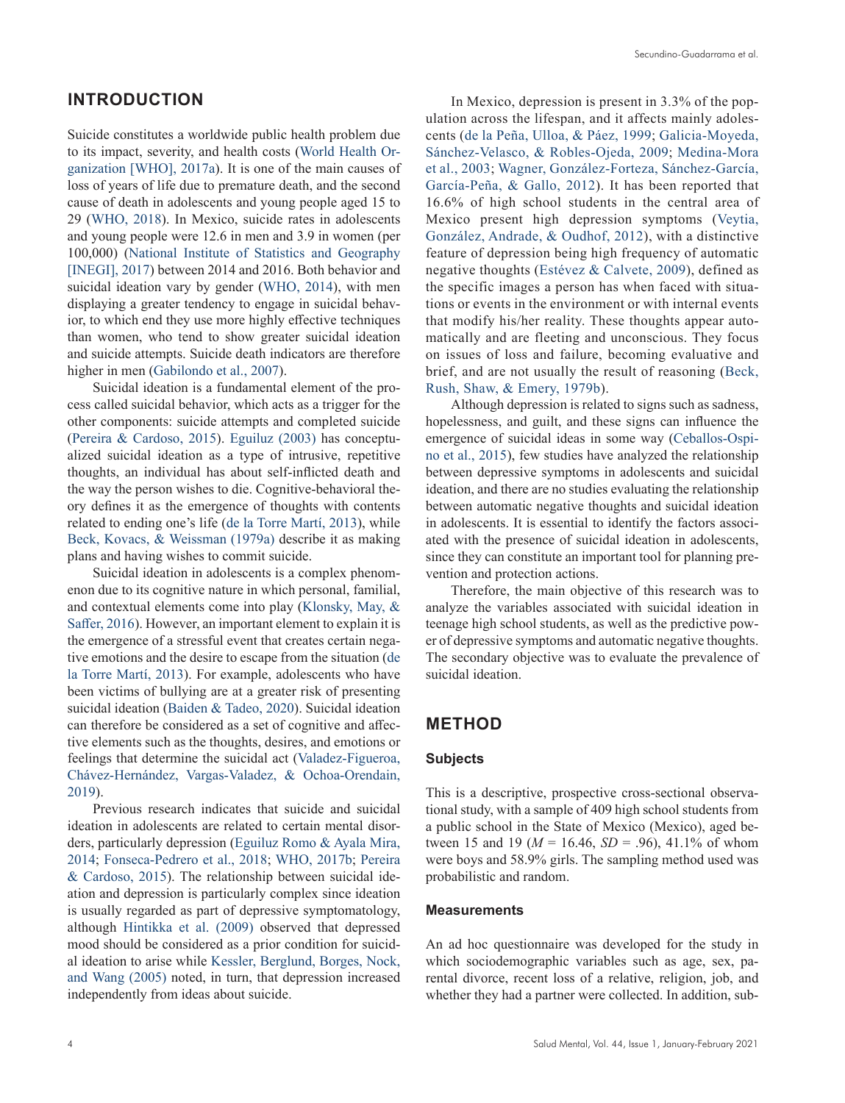# **INTRODUCTION**

Suicide constitutes a worldwide public health problem due to its impact, severity, and health costs [\(World Health Or](#page-7-0)[ganization \[WHO\], 2017a](#page-7-0)). It is one of the main causes of loss of years of life due to premature death, and the second cause of death in adolescents and young people aged 15 to 29 ([WHO, 2018\)](#page-7-1). In Mexico, suicide rates in adolescents and young people were 12.6 in men and 3.9 in women (per 100,000) ([National Institute of Statistics and Geography](#page-7-2) [\[INEGI\], 2017\)](#page-7-2) between 2014 and 2016. Both behavior and suicidal ideation vary by gender [\(WHO, 2014](#page-7-3)), with men displaying a greater tendency to engage in suicidal behavior, to which end they use more highly effective techniques than women, who tend to show greater suicidal ideation and suicide attempts. Suicide death indicators are therefore higher in men [\(Gabilondo et al., 2007\)](#page-6-0).

Suicidal ideation is a fundamental element of the process called suicidal behavior, which acts as a trigger for the other components: suicide attempts and completed suicide [\(Pereira & Cardoso, 2015](#page-7-4)). [Eguiluz \(2003\)](#page-6-1) has conceptualized suicidal ideation as a type of intrusive, repetitive thoughts, an individual has about self-inflicted death and the way the person wishes to die. Cognitive-behavioral theory defines it as the emergence of thoughts with contents related to ending one's life [\(de la Torre Martí, 2013](#page-7-5)), while [Beck, Kovacs, & Weissman \(1979a\)](#page-6-2) describe it as making plans and having wishes to commit suicide.

Suicidal ideation in adolescents is a complex phenomenon due to its cognitive nature in which personal, familial, and contextual elements come into play [\(Klonsky, May, &](#page-7-6) [Saffer, 2016](#page-7-6)). However, an important element to explain it is the emergence of a stressful event that creates certain negative emotions and the desire to escape from the situation ([de](#page-7-5) [la Torre Martí, 2013\)](#page-7-5). For example, adolescents who have been victims of bullying are at a greater risk of presenting suicidal ideation [\(Baiden & Tadeo, 2020](#page-6-3)). Suicidal ideation can therefore be considered as a set of cognitive and affective elements such as the thoughts, desires, and emotions or feelings that determine the suicidal act ([Valadez-Figueroa,](#page-7-7) [Chávez-Hernández, Vargas-Valadez, & Ochoa-Orendain,](#page-7-7) [2019](#page-7-7)).

Previous research indicates that suicide and suicidal ideation in adolescents are related to certain mental disorders, particularly depression [\(Eguiluz Romo & Ayala Mira,](#page-6-4) [2014](#page-6-4); [Fonseca-Pedrero et al., 2018](#page-6-5); [WHO, 2017b;](#page-7-8) [Pereira](#page-7-4) [& Cardoso, 2015\)](#page-7-4). The relationship between suicidal ideation and depression is particularly complex since ideation is usually regarded as part of depressive symptomatology, although [Hintikka et al. \(2009\)](#page-7-9) observed that depressed mood should be considered as a prior condition for suicidal ideation to arise while [Kessler, Berglund, Borges, Nock,](#page-7-10) [and Wang \(2005\)](#page-7-10) noted, in turn, that depression increased independently from ideas about suicide.

In Mexico, depression is present in 3.3% of the population across the lifespan, and it affects mainly adolescents ([de la Peña, Ulloa, & Páez, 1999;](#page-7-11) [Galicia-Moyeda,](#page-6-6) [Sánchez-Velasco, & Robles-Ojeda, 2009;](#page-6-6) [Medina-Mora](#page-7-12) [et al., 2003](#page-7-12); [Wagner, González-Forteza, Sánchez-García,](#page-7-13) [García-Peña, & Gallo, 2012\)](#page-7-13). It has been reported that 16.6% of high school students in the central area of Mexico present high depression symptoms ([Veytia,](#page-7-14) [González, Andrade, & Oudhof, 2012](#page-7-14)), with a distinctive feature of depression being high frequency of automatic negative thoughts ([Estévez & Calvete, 2009](#page-6-7)), defined as the specific images a person has when faced with situations or events in the environment or with internal events that modify his/her reality. These thoughts appear automatically and are fleeting and unconscious. They focus on issues of loss and failure, becoming evaluative and brief, and are not usually the result of reasoning ([Beck,](#page-6-8) [Rush, Shaw, & Emery, 1979b](#page-6-8)).

Although depression is related to signs such as sadness, hopelessness, and guilt, and these signs can influence the emergence of suicidal ideas in some way [\(Ceballos-Ospi](#page-6-9)[no et al., 2015\)](#page-6-9), few studies have analyzed the relationship between depressive symptoms in adolescents and suicidal ideation, and there are no studies evaluating the relationship between automatic negative thoughts and suicidal ideation in adolescents. It is essential to identify the factors associated with the presence of suicidal ideation in adolescents, since they can constitute an important tool for planning prevention and protection actions.

Therefore, the main objective of this research was to analyze the variables associated with suicidal ideation in teenage high school students, as well as the predictive power of depressive symptoms and automatic negative thoughts. The secondary objective was to evaluate the prevalence of suicidal ideation.

# **METHOD**

# **Subjects**

This is a descriptive, prospective cross-sectional observational study, with a sample of 409 high school students from a public school in the State of Mexico (Mexico), aged between 15 and 19 (*M* = 16.46, *SD* = .96), 41.1% of whom were boys and 58.9% girls. The sampling method used was probabilistic and random.

## **Measurements**

An ad hoc questionnaire was developed for the study in which sociodemographic variables such as age, sex, parental divorce, recent loss of a relative, religion, job, and whether they had a partner were collected. In addition, sub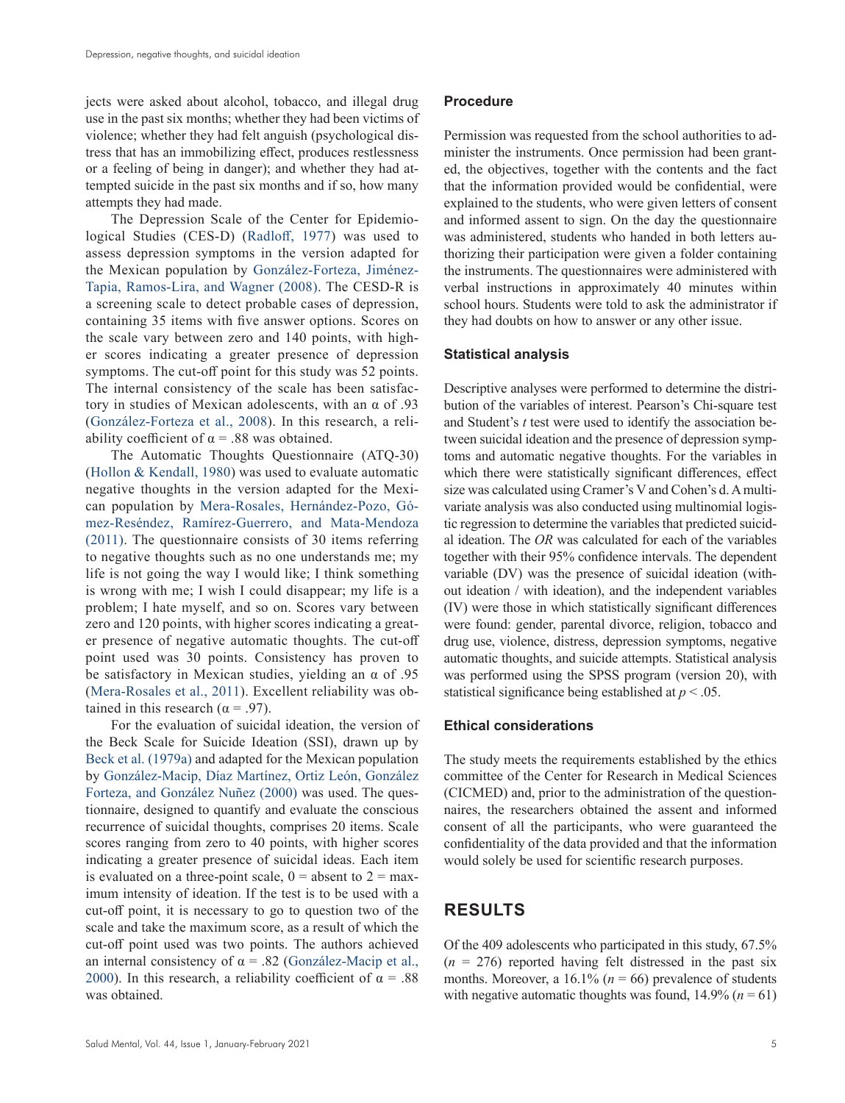jects were asked about alcohol, tobacco, and illegal drug use in the past six months; whether they had been victims of violence; whether they had felt anguish (psychological distress that has an immobilizing effect, produces restlessness or a feeling of being in danger); and whether they had attempted suicide in the past six months and if so, how many attempts they had made.

The Depression Scale of the Center for Epidemiological Studies (CES-D) ([Radloff, 1977](#page-7-15)) was used to assess depression symptoms in the version adapted for the Mexican population by [González-Forteza, Jiménez-](#page-6-10)[Tapia, Ramos-Lira, and Wagner \(2008\)](#page-6-10). The CESD-R is a screening scale to detect probable cases of depression, containing 35 items with five answer options. Scores on the scale vary between zero and 140 points, with higher scores indicating a greater presence of depression symptoms. The cut-off point for this study was 52 points. The internal consistency of the scale has been satisfactory in studies of Mexican adolescents, with an α of .93 [\(González-Forteza et al., 2008](#page-6-10)). In this research, a reliability coefficient of  $\alpha = .88$  was obtained.

The Automatic Thoughts Questionnaire (ATQ-30) [\(Hollon & Kendall, 1980](#page-7-16)) was used to evaluate automatic negative thoughts in the version adapted for the Mexican population by [Mera-Rosales, Hernández-Pozo, Gó](#page-7-17)[mez-Reséndez, Ramírez-Guerrero, and Mata-Mendoza](#page-7-17)  [\(2011\)](#page-7-17). The questionnaire consists of 30 items referring to negative thoughts such as no one understands me; my life is not going the way I would like; I think something is wrong with me; I wish I could disappear; my life is a problem; I hate myself, and so on. Scores vary between zero and 120 points, with higher scores indicating a greater presence of negative automatic thoughts. The cut-off point used was 30 points. Consistency has proven to be satisfactory in Mexican studies, yielding an  $\alpha$  of .95 [\(Mera-Rosales et al., 2011](#page-7-17)). Excellent reliability was obtained in this research ( $\alpha$  = .97).

For the evaluation of suicidal ideation, the version of the Beck Scale for Suicide Ideation (SSI), drawn up by [Beck et al. \(1979a\)](#page-6-2) and adapted for the Mexican population by [González-Macip, Díaz Martínez, Ortiz León, González](#page-7-18)  [Forteza, and González Nuñez \(2000\)](#page-7-18) was used. The questionnaire, designed to quantify and evaluate the conscious recurrence of suicidal thoughts, comprises 20 items. Scale scores ranging from zero to 40 points, with higher scores indicating a greater presence of suicidal ideas. Each item is evaluated on a three-point scale,  $0 =$  absent to  $2 =$  maximum intensity of ideation. If the test is to be used with a cut-off point, it is necessary to go to question two of the scale and take the maximum score, as a result of which the cut-off point used was two points. The authors achieved an internal consistency of  $\alpha = .82$  (González-Macip et al., [2000](#page-7-18)). In this research, a reliability coefficient of  $\alpha = .88$ was obtained.

Permission was requested from the school authorities to administer the instruments. Once permission had been granted, the objectives, together with the contents and the fact that the information provided would be confidential, were explained to the students, who were given letters of consent and informed assent to sign. On the day the questionnaire was administered, students who handed in both letters authorizing their participation were given a folder containing the instruments. The questionnaires were administered with verbal instructions in approximately 40 minutes within school hours. Students were told to ask the administrator if they had doubts on how to answer or any other issue.

## **Statistical analysis**

Descriptive analyses were performed to determine the distribution of the variables of interest. Pearson's Chi-square test and Student's *t* test were used to identify the association between suicidal ideation and the presence of depression symptoms and automatic negative thoughts. For the variables in which there were statistically significant differences, effect size was calculated using Cramer's V and Cohen's d. A multivariate analysis was also conducted using multinomial logistic regression to determine the variables that predicted suicidal ideation. The *OR* was calculated for each of the variables together with their 95% confidence intervals. The dependent variable (DV) was the presence of suicidal ideation (without ideation / with ideation), and the independent variables (IV) were those in which statistically significant differences were found: gender, parental divorce, religion, tobacco and drug use, violence, distress, depression symptoms, negative automatic thoughts, and suicide attempts. Statistical analysis was performed using the SPSS program (version 20), with statistical significance being established at *p* < .05.

## **Ethical considerations**

The study meets the requirements established by the ethics committee of the Center for Research in Medical Sciences (CICMED) and, prior to the administration of the questionnaires, the researchers obtained the assent and informed consent of all the participants, who were guaranteed the confidentiality of the data provided and that the information would solely be used for scientific research purposes.

# **RESULTS**

Of the 409 adolescents who participated in this study, 67.5%  $(n = 276)$  reported having felt distressed in the past six months. Moreover, a  $16.1\%$  ( $n = 66$ ) prevalence of students with negative automatic thoughts was found,  $14.9\%$  ( $n = 61$ )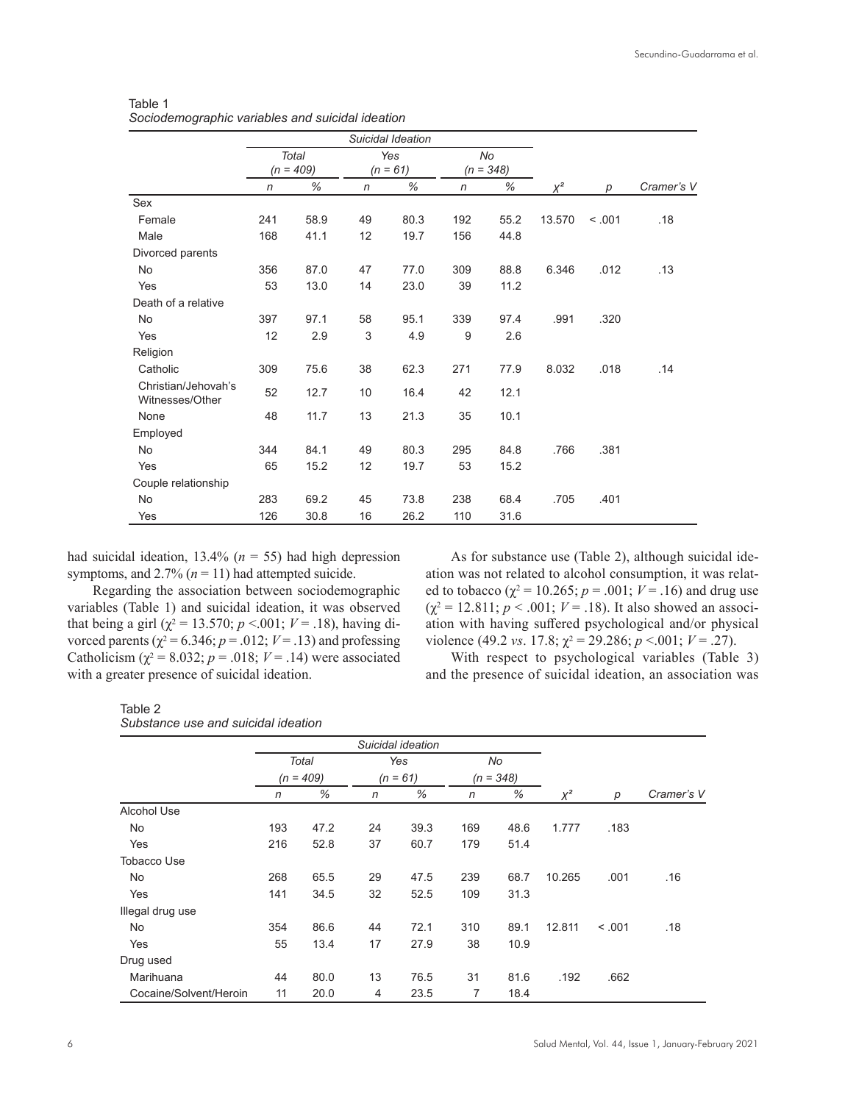|                                        | Suicidal Ideation |              |              |      |             |      |        |        |            |
|----------------------------------------|-------------------|--------------|--------------|------|-------------|------|--------|--------|------------|
|                                        |                   | <b>Total</b> |              | Yes  |             | No   |        |        |            |
|                                        | $(n = 409)$       |              | $(n = 61)$   |      | $(n = 348)$ |      |        |        |            |
|                                        | n                 | %            | $\mathsf{n}$ | %    | n           | %    | $X^2$  | p      | Cramer's V |
| Sex                                    |                   |              |              |      |             |      |        |        |            |
| Female                                 | 241               | 58.9         | 49           | 80.3 | 192         | 55.2 | 13.570 | < .001 | .18        |
| Male                                   | 168               | 41.1         | 12           | 19.7 | 156         | 44.8 |        |        |            |
| Divorced parents                       |                   |              |              |      |             |      |        |        |            |
| No                                     | 356               | 87.0         | 47           | 77.0 | 309         | 88.8 | 6.346  | .012   | .13        |
| Yes                                    | 53                | 13.0         | 14           | 23.0 | 39          | 11.2 |        |        |            |
| Death of a relative                    |                   |              |              |      |             |      |        |        |            |
| <b>No</b>                              | 397               | 97.1         | 58           | 95.1 | 339         | 97.4 | .991   | .320   |            |
| Yes                                    | 12                | 2.9          | 3            | 4.9  | 9           | 2.6  |        |        |            |
| Religion                               |                   |              |              |      |             |      |        |        |            |
| Catholic                               | 309               | 75.6         | 38           | 62.3 | 271         | 77.9 | 8.032  | .018   | .14        |
| Christian/Jehovah's<br>Witnesses/Other | 52                | 12.7         | 10           | 16.4 | 42          | 12.1 |        |        |            |
| None                                   | 48                | 11.7         | 13           | 21.3 | 35          | 10.1 |        |        |            |
| Employed                               |                   |              |              |      |             |      |        |        |            |
| <b>No</b>                              | 344               | 84.1         | 49           | 80.3 | 295         | 84.8 | .766   | .381   |            |
| Yes                                    | 65                | 15.2         | 12           | 19.7 | 53          | 15.2 |        |        |            |
| Couple relationship                    |                   |              |              |      |             |      |        |        |            |
| No                                     | 283               | 69.2         | 45           | 73.8 | 238         | 68.4 | .705   | .401   |            |
| Yes                                    | 126               | 30.8         | 16           | 26.2 | 110         | 31.6 |        |        |            |

Table 1 *Sociodemographic variables and suicidal ideation*

had suicidal ideation, 13.4% (*n* = 55) had high depression symptoms, and  $2.7\%$  ( $n = 11$ ) had attempted suicide.

Regarding the association between sociodemographic variables (Table 1) and suicidal ideation, it was observed that being a girl ( $\chi^2$  = 13.570; *p* <.001; *V* = .18), having divorced parents ( $\chi^2$  = 6.346; *p* = .012; *V* = .13) and professing Catholicism ( $\chi^2$  = 8.032; *p* = .018; *V* = .14) were associated with a greater presence of suicidal ideation.

As for substance use (Table 2), although suicidal ideation was not related to alcohol consumption, it was related to tobacco ( $\chi^2$  = 10.265; *p* = .001; *V* = .16) and drug use  $(\chi^2 = 12.811; p < .001; V = .18)$ . It also showed an association with having suffered psychological and/or physical violence (49.2 *vs*. 17.8;  $\chi^2 = 29.286$ ;  $p < .001$ ;  $V = .27$ ).

With respect to psychological variables (Table 3) and the presence of suicidal ideation, an association was

| Table 2                             |  |  |
|-------------------------------------|--|--|
| Substance use and suicidal ideation |  |  |

|                        | Suicidal ideation           |      |                   |      |                   |      |          |         |            |
|------------------------|-----------------------------|------|-------------------|------|-------------------|------|----------|---------|------------|
|                        | <b>Total</b><br>$(n = 409)$ |      | Yes<br>$(n = 61)$ |      | No<br>$(n = 348)$ |      |          |         |            |
|                        |                             |      |                   |      |                   |      |          |         |            |
|                        | n                           | %    | $\mathsf{n}$      | %    | n                 | %    | $\chi^2$ | р       | Cramer's V |
| <b>Alcohol Use</b>     |                             |      |                   |      |                   |      |          |         |            |
| <b>No</b>              | 193                         | 47.2 | 24                | 39.3 | 169               | 48.6 | 1.777    | .183    |            |
| Yes                    | 216                         | 52.8 | 37                | 60.7 | 179               | 51.4 |          |         |            |
| <b>Tobacco Use</b>     |                             |      |                   |      |                   |      |          |         |            |
| No                     | 268                         | 65.5 | 29                | 47.5 | 239               | 68.7 | 10.265   | .001    | .16        |
| Yes                    | 141                         | 34.5 | 32                | 52.5 | 109               | 31.3 |          |         |            |
| Illegal drug use       |                             |      |                   |      |                   |      |          |         |            |
| No                     | 354                         | 86.6 | 44                | 72.1 | 310               | 89.1 | 12.811   | < 0.001 | .18        |
| Yes                    | 55                          | 13.4 | 17                | 27.9 | 38                | 10.9 |          |         |            |
| Drug used              |                             |      |                   |      |                   |      |          |         |            |
| Marihuana              | 44                          | 80.0 | 13                | 76.5 | 31                | 81.6 | .192     | .662    |            |
| Cocaine/Solvent/Heroin | 11                          | 20.0 | 4                 | 23.5 | 7                 | 18.4 |          |         |            |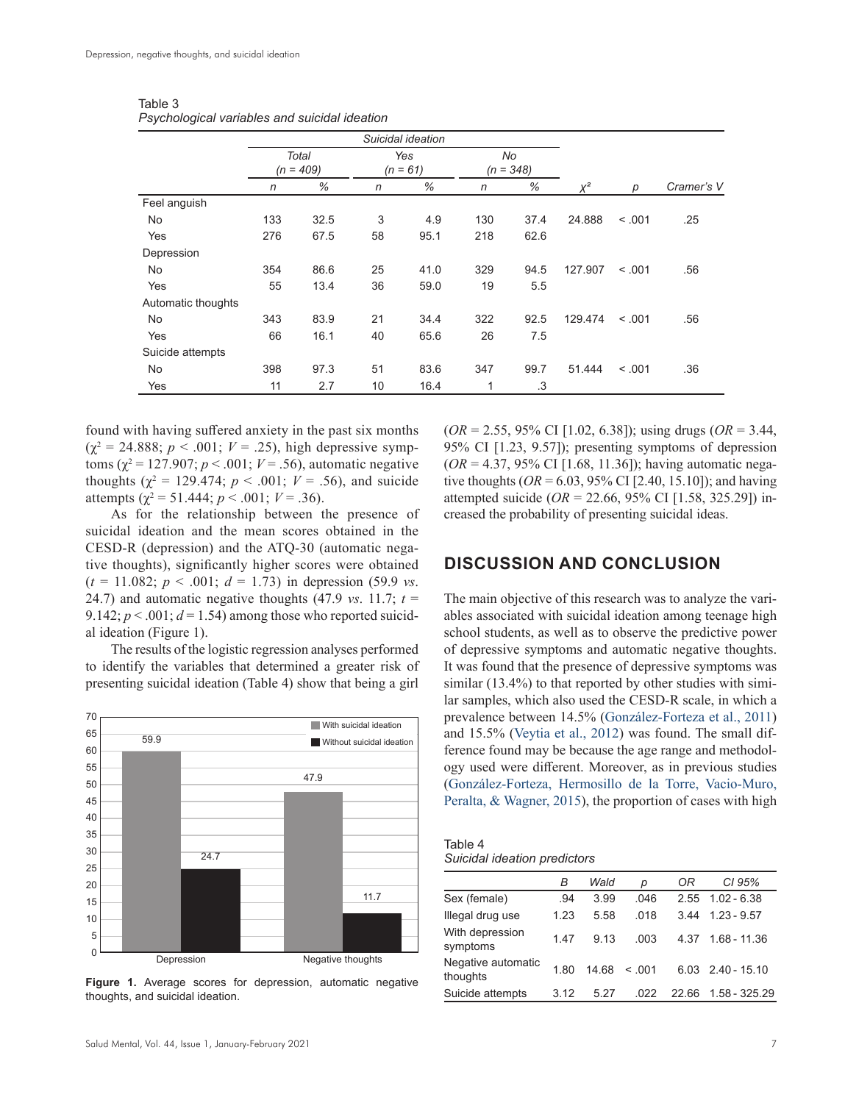|                    |                      |      | Suicidal ideation |      |     |      |                   |         |            |
|--------------------|----------------------|------|-------------------|------|-----|------|-------------------|---------|------------|
|                    | Total<br>$(n = 409)$ |      | Yes<br>$(n = 61)$ |      |     |      | No<br>$(n = 348)$ |         |            |
|                    | n                    | %    | n                 | %    | n   | %    | $X^2$             | р       | Cramer's V |
| Feel anguish       |                      |      |                   |      |     |      |                   |         |            |
| No                 | 133                  | 32.5 | 3                 | 4.9  | 130 | 37.4 | 24.888            | < 0.001 | .25        |
| Yes                | 276                  | 67.5 | 58                | 95.1 | 218 | 62.6 |                   |         |            |
| Depression         |                      |      |                   |      |     |      |                   |         |            |
| No                 | 354                  | 86.6 | 25                | 41.0 | 329 | 94.5 | 127.907           | < 0.001 | .56        |
| Yes                | 55                   | 13.4 | 36                | 59.0 | 19  | 5.5  |                   |         |            |
| Automatic thoughts |                      |      |                   |      |     |      |                   |         |            |
| <b>No</b>          | 343                  | 83.9 | 21                | 34.4 | 322 | 92.5 | 129.474           | < 0.001 | .56        |
| Yes                | 66                   | 16.1 | 40                | 65.6 | 26  | 7.5  |                   |         |            |
| Suicide attempts   |                      |      |                   |      |     |      |                   |         |            |
| <b>No</b>          | 398                  | 97.3 | 51                | 83.6 | 347 | 99.7 | 51.444            | < 0.001 | .36        |
| Yes                | 11                   | 2.7  | 10                | 16.4 | 1   | .3   |                   |         |            |

Table 3 *Psychological variables and suicidal ideation*

found with having suffered anxiety in the past six months  $(\chi^2 = 24.888; p < .001; V = .25)$ , high depressive symptoms ( $χ² = 127.907$ ;  $p < .001$ ;  $V = .56$ ), automatic negative thoughts ( $\chi^2$  = 129.474;  $p < .001$ ;  $V = .56$ ), and suicide attempts ( $\chi^2$  = 51.444; *p* < .001; *V* = .36).

As for the relationship between the presence of suicidal ideation and the mean scores obtained in the CESD-R (depression) and the ATQ-30 (automatic negative thoughts), significantly higher scores were obtained  $(t = 11.082; p < .001; d = 1.73)$  in depression (59.9 *vs.*) 24.7) and automatic negative thoughts (47.9 *vs.* 11.7;  $t =$ 9.142;  $p < .001$ ;  $d = 1.54$ ) among those who reported suicidal ideation (Figure 1).

The results of the logistic regression analyses performed to identify the variables that determined a greater risk of presenting suicidal ideation (Table 4) show that being a girl



**Figure 1.** Average scores for depression, automatic negative thoughts, and suicidal ideation.

(*OR* = 2.55, 95% CI [1.02, 6.38]); using drugs (*OR* = 3.44, 95% CI [1.23, 9.57]); presenting symptoms of depression (*OR* = 4.37, 95% CI [1.68, 11.36]); having automatic negative thoughts  $(OR = 6.03, 95\% \text{ CI} [2.40, 15.10])$ ; and having attempted suicide (*OR* = 22.66, 95% CI [1.58, 325.29]) increased the probability of presenting suicidal ideas.

# **DISCUSSION AND CONCLUSION**

The main objective of this research was to analyze the variables associated with suicidal ideation among teenage high school students, as well as to observe the predictive power of depressive symptoms and automatic negative thoughts. It was found that the presence of depressive symptoms was similar (13.4%) to that reported by other studies with similar samples, which also used the CESD-R scale, in which a prevalence between 14.5% ([González-Forteza et al., 2011\)](#page-7-19) and 15.5% ([Veytia et al., 2012\)](#page-7-14) was found. The small difference found may be because the age range and methodology used were different. Moreover, as in previous studies [\(González-Forteza, Hermosillo de la Torre, Vacio-Muro,](#page-6-11)  [Peralta, & Wagner, 2015\)](#page-6-11), the proportion of cases with high

Table 4 *Suicidal ideation predictors*

|                                | в    | Wald  | D      | OR    | CI 95%             |
|--------------------------------|------|-------|--------|-------|--------------------|
| Sex (female)                   | .94  | 3.99  | .046   |       | $2.55$ 1.02 - 6.38 |
| Illegal drug use               | 1.23 | 5.58  | .018   | 344   | $1.23 - 9.57$      |
| With depression<br>symptoms    | 147  | 913   | .003   | 4 37  | $1.68 - 11.36$     |
| Negative automatic<br>thoughts | 1.80 | 14 68 | < 0.01 |       | 6.03 2.40 - 15.10  |
| Suicide attempts               | 3.12 | 5.27  | .022   | 22.66 | $1.58 - 325.29$    |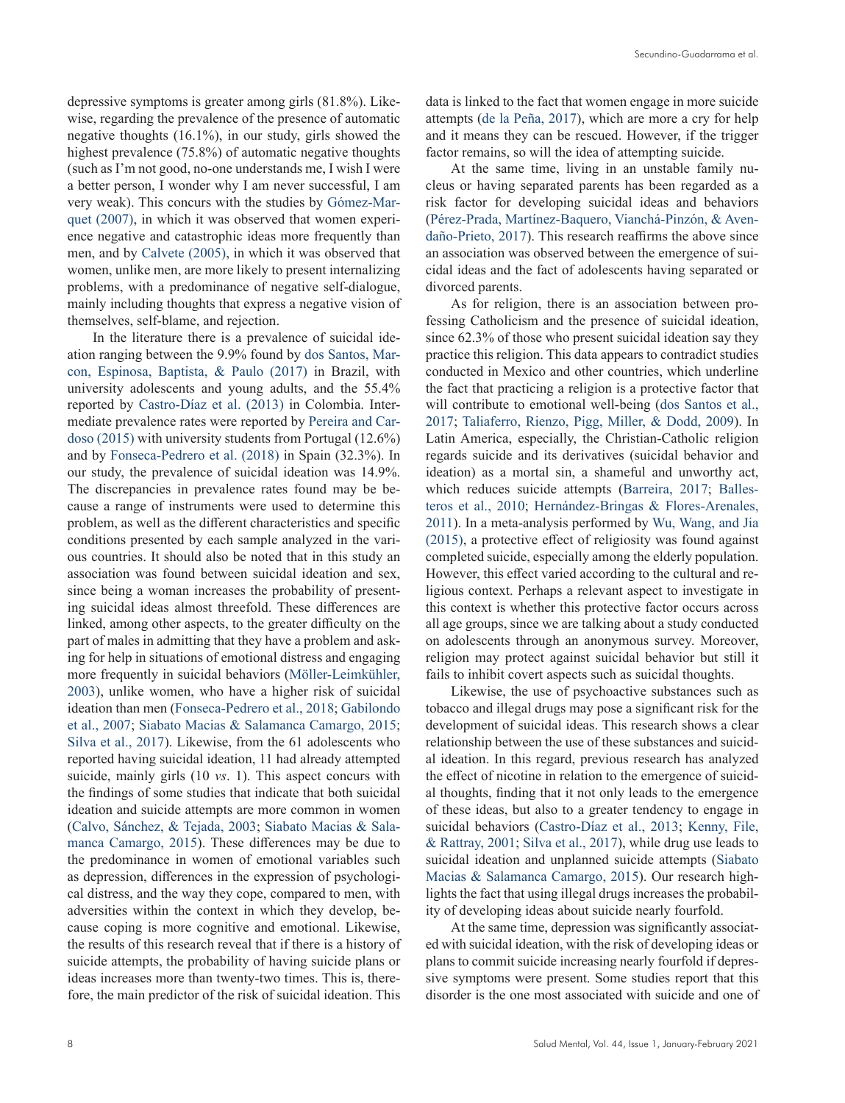depressive symptoms is greater among girls (81.8%). Likewise, regarding the prevalence of the presence of automatic negative thoughts (16.1%), in our study, girls showed the highest prevalence (75.8%) of automatic negative thoughts (such as I'm not good, no-one understands me, I wish I were a better person, I wonder why I am never successful, I am very weak). This concurs with the studies by [Gómez-Mar](#page-6-12)[quet \(2007\)](#page-6-12), in which it was observed that women experience negative and catastrophic ideas more frequently than men, and by [Calvete \(2005\),](#page-6-13) in which it was observed that women, unlike men, are more likely to present internalizing problems, with a predominance of negative self-dialogue, mainly including thoughts that express a negative vision of themselves, self-blame, and rejection.

In the literature there is a prevalence of suicidal ideation ranging between the 9.9% found by [dos Santos, Mar](#page-6-14)[con, Espinosa, Baptista, & Paulo \(2017\)](#page-6-14) in Brazil, with university adolescents and young adults, and the 55.4% reported by [Castro-Díaz et al. \(2013\)](#page-6-15) in Colombia. Intermediate prevalence rates were reported by [Pereira and Car](#page-7-4)[doso \(2015\)](#page-7-4) with university students from Portugal (12.6%) and by [Fonseca-Pedrero et al. \(2018\)](#page-6-5) in Spain (32.3%). In our study, the prevalence of suicidal ideation was 14.9%. The discrepancies in prevalence rates found may be because a range of instruments were used to determine this problem, as well as the different characteristics and specific conditions presented by each sample analyzed in the various countries. It should also be noted that in this study an association was found between suicidal ideation and sex, since being a woman increases the probability of presenting suicidal ideas almost threefold. These differences are linked, among other aspects, to the greater difficulty on the part of males in admitting that they have a problem and asking for help in situations of emotional distress and engaging more frequently in suicidal behaviors ([Möller-Leimkühler,](#page-7-20) [2003](#page-7-20)), unlike women, who have a higher risk of suicidal ideation than men ([Fonseca-Pedrero et al., 2018;](#page-6-5) [Gabilondo](#page-6-0) [et al., 2007](#page-6-0); [Siabato Macias & Salamanca Camargo, 2015](#page-7-21); [Silva et al., 2017](#page-7-22)). Likewise, from the 61 adolescents who reported having suicidal ideation, 11 had already attempted suicide, mainly girls (10 *vs*. 1). This aspect concurs with the findings of some studies that indicate that both suicidal ideation and suicide attempts are more common in women [\(Calvo, Sánchez, & Tejada, 2003;](#page-6-16) [Siabato Macias & Sala](#page-7-21)[manca Camargo, 2015](#page-7-21)). These differences may be due to the predominance in women of emotional variables such as depression, differences in the expression of psychological distress, and the way they cope, compared to men, with adversities within the context in which they develop, because coping is more cognitive and emotional. Likewise, the results of this research reveal that if there is a history of suicide attempts, the probability of having suicide plans or ideas increases more than twenty-two times. This is, therefore, the main predictor of the risk of suicidal ideation. This data is linked to the fact that women engage in more suicide attempts [\(de la Peña, 2017](#page-7-23)), which are more a cry for help and it means they can be rescued. However, if the trigger factor remains, so will the idea of attempting suicide.

At the same time, living in an unstable family nucleus or having separated parents has been regarded as a risk factor for developing suicidal ideas and behaviors ([Pérez-Prada, Martínez-Baquero, Vianchá-Pinzón, & Aven](#page-7-24)[daño-Prieto, 2017](#page-7-24)). This research reaffirms the above since an association was observed between the emergence of suicidal ideas and the fact of adolescents having separated or divorced parents.

As for religion, there is an association between professing Catholicism and the presence of suicidal ideation, since 62.3% of those who present suicidal ideation say they practice this religion. This data appears to contradict studies conducted in Mexico and other countries, which underline the fact that practicing a religion is a protective factor that will contribute to emotional well-being ([dos Santos et al.,](#page-6-14) [2017](#page-6-14); [Taliaferro, Rienzo, Pigg, Miller, & Dodd, 2009](#page-7-25)). In Latin America, especially, the Christian-Catholic religion regards suicide and its derivatives (suicidal behavior and ideation) as a mortal sin, a shameful and unworthy act, which reduces suicide attempts ([Barreira, 2017;](#page-6-17) [Balles](#page-6-18)[teros et al., 2010;](#page-6-18) [Hernández-Bringas & Flores-Arenales,](#page-7-26) [2011\)](#page-7-26). In a meta-analysis performed by [Wu, Wang, and Jia](#page-7-27) [\(2015\)](#page-7-27), a protective effect of religiosity was found against completed suicide, especially among the elderly population. However, this effect varied according to the cultural and religious context. Perhaps a relevant aspect to investigate in this context is whether this protective factor occurs across all age groups, since we are talking about a study conducted on adolescents through an anonymous survey. Moreover, religion may protect against suicidal behavior but still it fails to inhibit covert aspects such as suicidal thoughts.

Likewise, the use of psychoactive substances such as tobacco and illegal drugs may pose a significant risk for the development of suicidal ideas. This research shows a clear relationship between the use of these substances and suicidal ideation. In this regard, previous research has analyzed the effect of nicotine in relation to the emergence of suicidal thoughts, finding that it not only leads to the emergence of these ideas, but also to a greater tendency to engage in suicidal behaviors ([Castro-Díaz et al., 2013](#page-6-15); [Kenny, File,](#page-7-28) [& Rattray, 2001;](#page-7-28) [Silva et al., 2017\)](#page-7-22), while drug use leads to suicidal ideation and unplanned suicide attempts [\(Siabato](#page-7-21) [Macias & Salamanca Camargo, 2015\)](#page-7-21). Our research highlights the fact that using illegal drugs increases the probability of developing ideas about suicide nearly fourfold.

At the same time, depression was significantly associated with suicidal ideation, with the risk of developing ideas or plans to commit suicide increasing nearly fourfold if depressive symptoms were present. Some studies report that this disorder is the one most associated with suicide and one of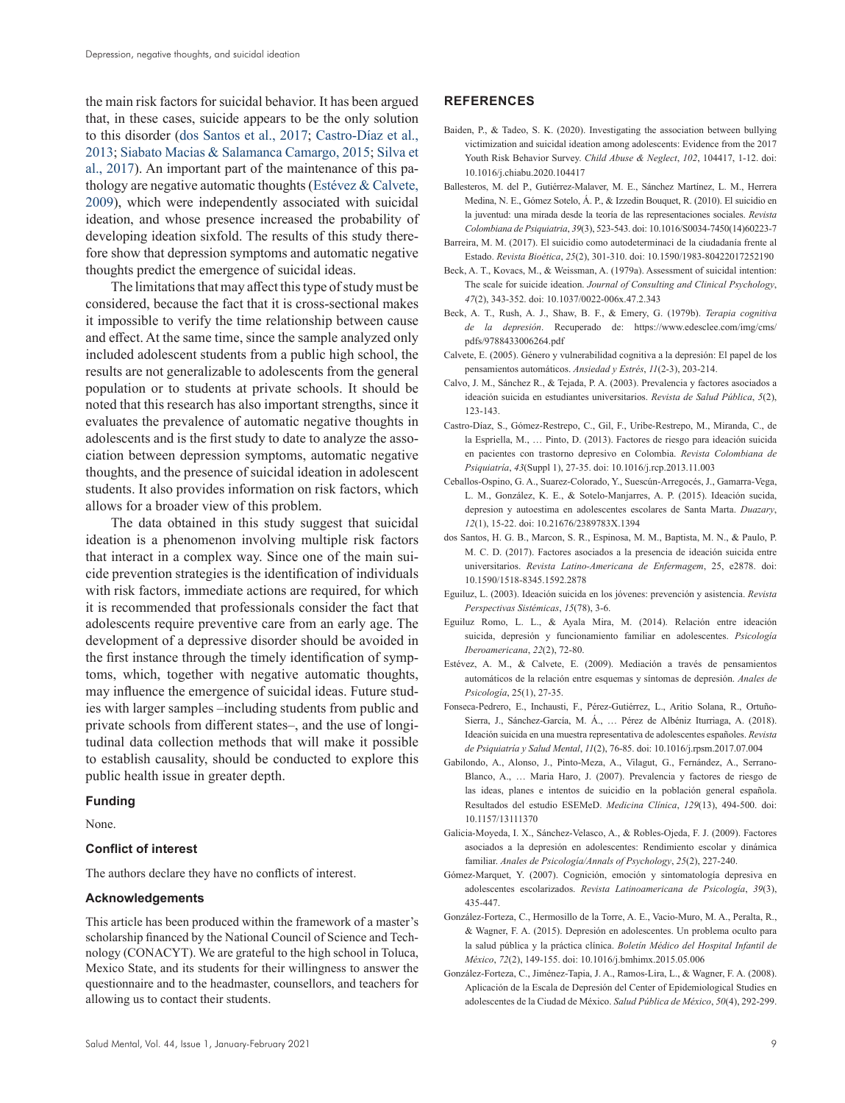the main risk factors for suicidal behavior. It has been argued that, in these cases, suicide appears to be the only solution to this disorder ([dos Santos et al., 2017](#page-6-14); [Castro-Díaz et al.,](#page-6-15)  [2013;](#page-6-15) [Siabato Macias & Salamanca Camargo, 2015](#page-7-21); [Silva et](#page-7-22)  [al., 2017\)](#page-7-22). An important part of the maintenance of this pathology are negative automatic thoughts ([Estévez & Calvete,](#page-6-7)  [2009\)](#page-6-7), which were independently associated with suicidal ideation, and whose presence increased the probability of developing ideation sixfold. The results of this study therefore show that depression symptoms and automatic negative thoughts predict the emergence of suicidal ideas.

The limitations that may affect this type of study must be considered, because the fact that it is cross-sectional makes it impossible to verify the time relationship between cause and effect. At the same time, since the sample analyzed only included adolescent students from a public high school, the results are not generalizable to adolescents from the general population or to students at private schools. It should be noted that this research has also important strengths, since it evaluates the prevalence of automatic negative thoughts in adolescents and is the first study to date to analyze the association between depression symptoms, automatic negative thoughts, and the presence of suicidal ideation in adolescent students. It also provides information on risk factors, which allows for a broader view of this problem.

The data obtained in this study suggest that suicidal ideation is a phenomenon involving multiple risk factors that interact in a complex way. Since one of the main suicide prevention strategies is the identification of individuals with risk factors, immediate actions are required, for which it is recommended that professionals consider the fact that adolescents require preventive care from an early age. The development of a depressive disorder should be avoided in the first instance through the timely identification of symptoms, which, together with negative automatic thoughts, may influence the emergence of suicidal ideas. Future studies with larger samples -including students from public and private schools from different states-, and the use of longitudinal data collection methods that will make it possible to establish causality, should be conducted to explore this public health issue in greater depth.

#### **Funding**

None.

### **Conflict of interest**

The authors declare they have no conflicts of interest.

#### **Acknowledgements**

This article has been produced within the framework of a master's scholarship financed by the National Council of Science and Technology (CONACYT). We are grateful to the high school in Toluca, Mexico State, and its students for their willingness to answer the questionnaire and to the headmaster, counsellors, and teachers for allowing us to contact their students.

### **REFERENCES**

- <span id="page-6-3"></span>Baiden, P., & Tadeo, S. K. (2020). Investigating the association between bullying victimization and suicidal ideation among adolescents: Evidence from the 2017 Youth Risk Behavior Survey. *Child Abuse & Neglect*, *102*, 104417, 1-12. doi: 10.1016/j.chiabu.2020.104417
- <span id="page-6-18"></span>Ballesteros, M. del P., Gutiérrez-Malaver, M. E., Sánchez Martínez, L. M., Herrera Medina, N. E., Gómez Sotelo, Á. P., & Izzedin Bouquet, R. (2010). El suicidio en la juventud: una mirada desde la teoría de las representaciones sociales. *Revista Colombiana de Psiquiatria*, *39*(3), 523-543. doi: 10.1016/S0034-7450(14)60223-7
- <span id="page-6-17"></span>Barreira, M. M. (2017). El suicidio como autodeterminaci de la ciudadanía frente al Estado. *Revista Bioética*, *25*(2), 301-310. doi: 10.1590/1983-80422017252190
- <span id="page-6-2"></span>Beck, A. T., Kovacs, M., & Weissman, A. (1979a). Assessment of suicidal intention: The scale for suicide ideation. *Journal of Consulting and Clinical Psychology*, *47*(2), 343-352. doi: 10.1037/0022-006x.47.2.343
- <span id="page-6-8"></span>Beck, A. T., Rush, A. J., Shaw, B. F., & Emery, G. (1979b). *Terapia cognitiva de la depresión*. Recuperado de: https://www.edesclee.com/img/cms/ pdfs/9788433006264.pdf
- <span id="page-6-13"></span>Calvete, E. (2005). Género y vulnerabilidad cognitiva a la depresión: El papel de los pensamientos automáticos. *Ansiedad y Estrés*, *11*(2-3), 203-214.
- <span id="page-6-16"></span>Calvo, J. M., Sánchez R., & Tejada, P. A. (2003). Prevalencia y factores asociados a ideación suicida en estudiantes universitarios. *Revista de Salud Pública*, *5*(2), 123-143.
- <span id="page-6-15"></span>Castro-Díaz, S., Gómez-Restrepo, C., Gil, F., Uribe-Restrepo, M., Miranda, C., de la Espriella, M., … Pinto, D. (2013). Factores de riesgo para ideación suicida en pacientes con trastorno depresivo en Colombia. *Revista Colombiana de Psiquiatría*, *43*(Suppl 1), 27-35. doi: 10.1016/j.rcp.2013.11.003
- <span id="page-6-9"></span>Ceballos-Ospino, G. A., Suarez-Colorado, Y., Suescún-Arregocés, J., Gamarra-Vega, L. M., González, K. E., & Sotelo-Manjarres, A. P. (2015). Ideación sucida, depresion y autoestima en adolescentes escolares de Santa Marta. *Duazary*, *12*(1), 15-22. doi: 10.21676/2389783X.1394
- <span id="page-6-14"></span>dos Santos, H. G. B., Marcon, S. R., Espinosa, M. M., Baptista, M. N., & Paulo, P. M. C. D. (2017). Factores asociados a la presencia de ideación suicida entre universitarios. *Revista Latino-Americana de Enfermagem*, 25, e2878. doi: 10.1590/1518-8345.1592.2878
- <span id="page-6-1"></span>Eguiluz, L. (2003). Ideación suicida en los jóvenes: prevención y asistencia. *Revista Perspectivas Sistémicas*, *15*(78), 3-6.
- <span id="page-6-4"></span>Eguiluz Romo, L. L., & Ayala Mira, M. (2014). Relación entre ideación suicida, depresión y funcionamiento familiar en adolescentes. *Psicología Iberoamericana*, *22*(2), 72-80.
- <span id="page-6-7"></span>Estévez, A. M., & Calvete, E. (2009). Mediación a través de pensamientos automáticos de la relación entre esquemas y síntomas de depresión. *Anales de Psicología*, 25(1), 27-35.
- <span id="page-6-5"></span>Fonseca-Pedrero, E., Inchausti, F., Pérez-Gutiérrez, L., Aritio Solana, R., Ortuño-Sierra, J., Sánchez-García, M. Á., … Pérez de Albéniz Iturriaga, A. (2018). Ideación suicida en una muestra representativa de adolescentes españoles. *Revista de Psiquiatría y Salud Mental*, *11*(2), 76-85. doi: 10.1016/j.rpsm.2017.07.004
- <span id="page-6-0"></span>Gabilondo, A., Alonso, J., Pinto-Meza, A., Vilagut, G., Fernández, A., Serrano-Blanco, A., … Maria Haro, J. (2007). Prevalencia y factores de riesgo de las ideas, planes e intentos de suicidio en la población general española. Resultados del estudio ESEMeD. *Medicina Clínica*, *129*(13), 494-500. doi: 10.1157/13111370
- <span id="page-6-6"></span>Galicia-Moyeda, I. X., Sánchez-Velasco, A., & Robles-Ojeda, F. J. (2009). Factores asociados a la depresión en adolescentes: Rendimiento escolar y dinámica familiar. *Anales de Psicología/Annals of Psychology*, *25*(2), 227-240.
- <span id="page-6-12"></span>Gómez-Marquet, Y. (2007). Cognición, emoción y sintomatología depresiva en adolescentes escolarizados. *Revista Latinoamericana de Psicología*, *39*(3), 435-447.
- <span id="page-6-11"></span>González-Forteza, C., Hermosillo de la Torre, A. E., Vacio-Muro, M. A., Peralta, R., & Wagner, F. A. (2015). Depresión en adolescentes. Un problema oculto para la salud pública y la práctica clínica. *Boletín Médico del Hospital Infantil de México*, *72*(2), 149-155. doi: 10.1016/j.bmhimx.2015.05.006
- <span id="page-6-10"></span>González-Forteza, C., Jiménez-Tapia, J. A., Ramos-Lira, L., & Wagner, F. A. (2008). Aplicación de la Escala de Depresión del Center of Epidemiological Studies en adolescentes de la Ciudad de México. *Salud Pública de México*, *50*(4), 292-299.